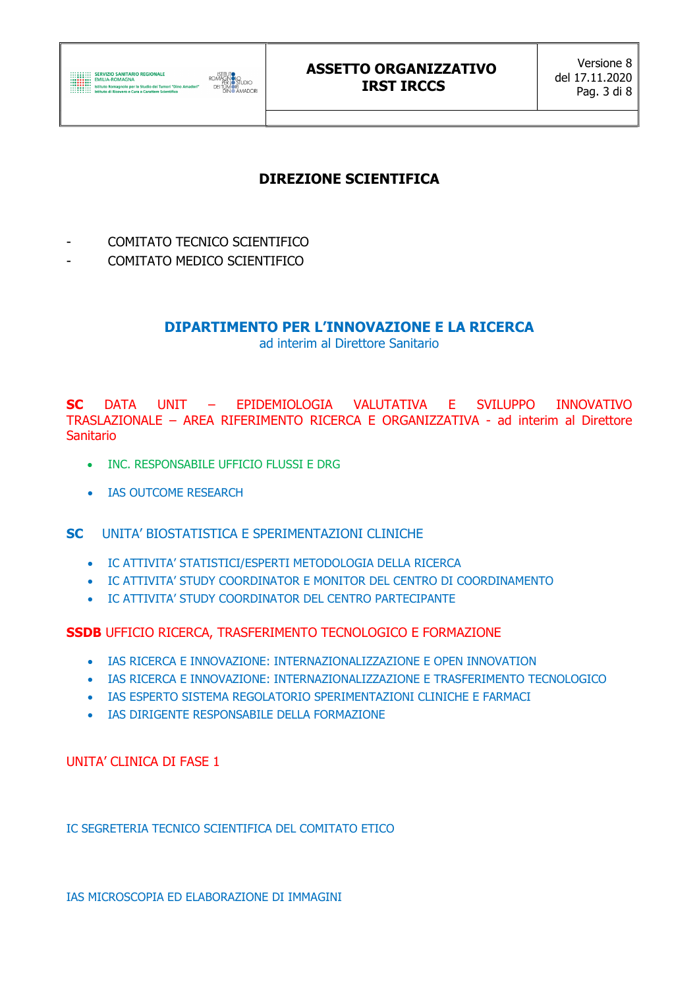

## DIREZIONE SCIENTIFICA

- COMITATO TECNICO SCIENTIFICO
- COMITATO MEDICO SCIENTIFICO

## DIPARTIMENTO PER L'INNOVAZIONE E LA RICERCA

ad interim al Direttore Sanitario

SC DATA UNIT – EPIDEMIOLOGIA VALUTATIVA E SVILUPPO INNOVATIVO TRASLAZIONALE – AREA RIFERIMENTO RICERCA E ORGANIZZATIVA - ad interim al Direttore **Sanitario** 

- INC. RESPONSABILE UFFICIO FLUSSI E DRG
- IAS OUTCOME RESEARCH

SC UNITA' BIOSTATISTICA E SPERIMENTAZIONI CLINICHE

- IC ATTIVITA' STATISTICI/ESPERTI METODOLOGIA DELLA RICERCA
- IC ATTIVITA' STUDY COORDINATOR E MONITOR DEL CENTRO DI COORDINAMENTO
- IC ATTIVITA' STUDY COORDINATOR DEL CENTRO PARTECIPANTE

SSDB UFFICIO RICERCA, TRASFERIMENTO TECNOLOGICO E FORMAZIONE

- IAS RICERCA E INNOVAZIONE: INTERNAZIONALIZZAZIONE E OPEN INNOVATION
- IAS RICERCA E INNOVAZIONE: INTERNAZIONALIZZAZIONE E TRASFERIMENTO TECNOLOGICO
- IAS ESPERTO SISTEMA REGOLATORIO SPERIMENTAZIONI CLINICHE E FARMACI
- **. IAS DIRIGENTE RESPONSABILE DELLA FORMAZIONE**

UNITA' CLINICA DI FASE 1

IC SEGRETERIA TECNICO SCIENTIFICA DEL COMITATO ETICO

IAS MICROSCOPIA ED ELABORAZIONE DI IMMAGINI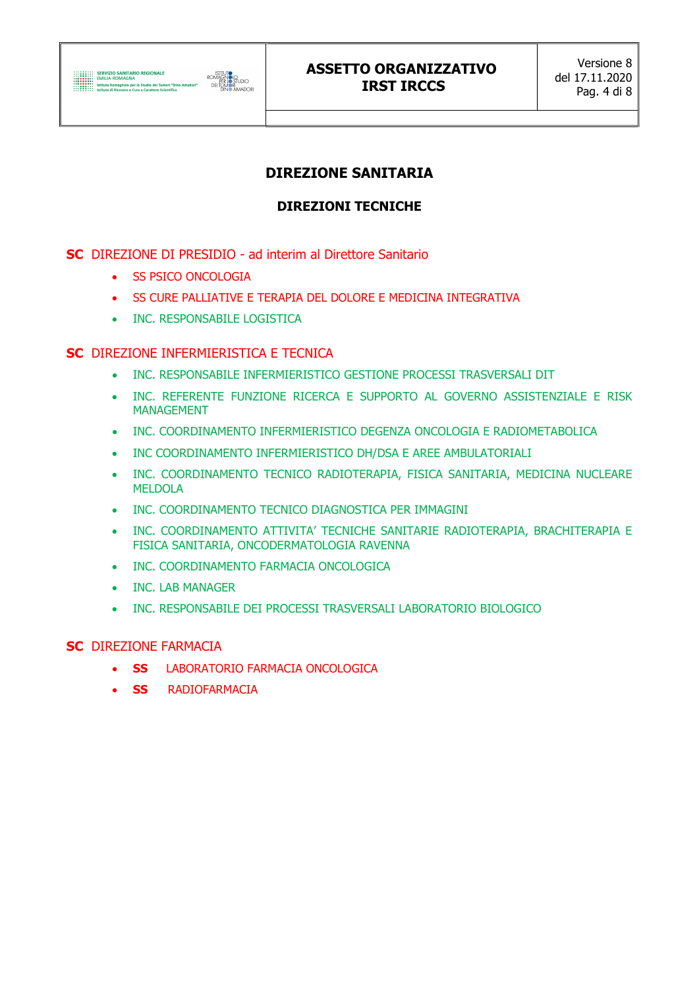

## DIREZIONE SANITARIA

## DIREZIONI TECNICHE

### SC DIREZIONE DI PRESIDIO - ad interim al Direttore Sanitario

- **SS PSICO ONCOLOGIA**
- **SS CURE PALLIATIVE E TERAPIA DEL DOLORE E MEDICINA INTEGRATIVA**
- INC. RESPONSABILE LOGISTICA

### SC DIREZIONE INFERMIERISTICA E TECNICA

- $\bullet$  INC. RESPONSABILE INFERMIERISTICO GESTIONE PROCESSI TRASVERSALI DIT
- INC. REFERENTE FUNZIONE RICERCA E SUPPORTO AL GOVERNO ASSISTENZIALE E RISK MANAGEMENT
- INC. COORDINAMENTO INFERMIERISTICO DEGENZA ONCOLOGIA E RADIOMETABOLICA
- INC COORDINAMENTO INFERMIERISTICO DH/DSA E AREE AMBULATORIALI
- INC. COORDINAMENTO TECNICO RADIOTERAPIA, FISICA SANITARIA, MEDICINA NUCLEARE MELDOLA
- INC. COORDINAMENTO TECNICO DIAGNOSTICA PER IMMAGINI
- INC. COORDINAMENTO ATTIVITA' TECNICHE SANITARIE RADIOTERAPIA, BRACHITERAPIA E FISICA SANITARIA, ONCODERMATOLOGIA RAVENNA
- **. INC. COORDINAMENTO FARMACIA ONCOLOGICA**
- INC. LAB MANAGER
- INC. RESPONSABILE DEI PROCESSI TRASVERSALI LABORATORIO BIOLOGICO

#### SC DIREZIONE FARMACIA

- **SS** LABORATORIO FARMACIA ONCOLOGICA
- **SS** RADIOFARMACIA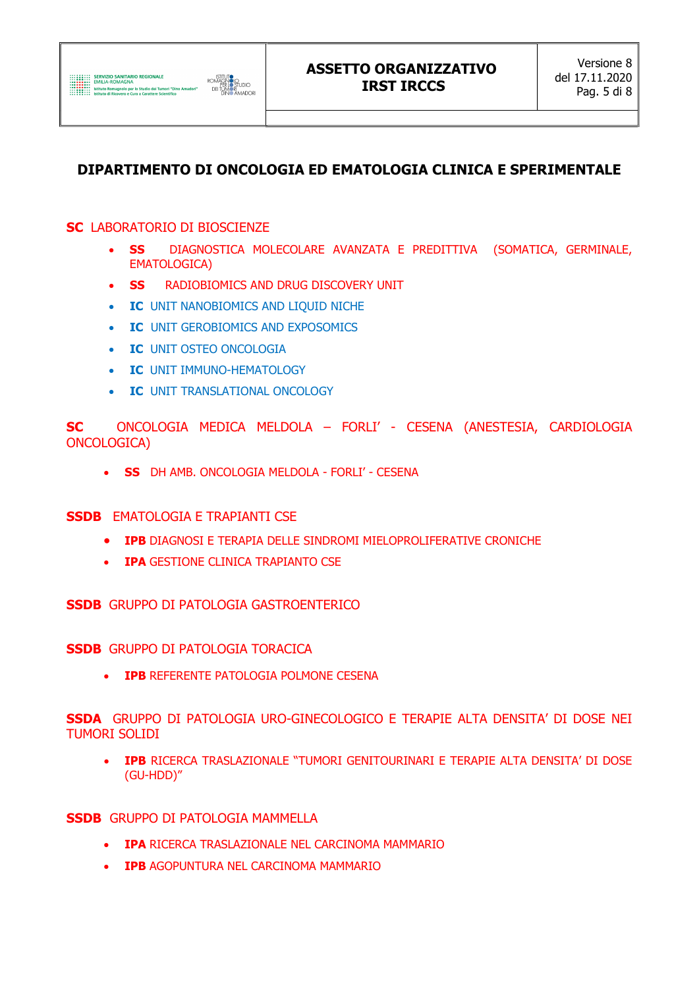# DIPARTIMENTO DI ONCOLOGIA ED EMATOLOGIA CLINICA E SPERIMENTALE

### **SC LABORATORIO DI BIOSCIENZE**

- DIAGNOSTICA MOLECOLARE AVANZATA E PREDITTIVA (SOMATICA, GERMINALE, **SS EMATOLOGICA)**
- RADIOBIOMICS AND DRUG DISCOVERY UNIT **SS**
- **IC UNIT NANOBIOMICS AND LIQUID NICHE**  $\bullet$
- **IC UNIT GEROBIOMICS AND EXPOSOMICS**  $\bullet$
- **IC UNIT OSTEO ONCOLOGIA**  $\bullet$
- IC UNIT IMMUNO-HEMATOLOGY
- IC UNIT TRANSLATIONAL ONCOLOGY

ONCOLOGIA MEDICA MELDOLA - FORLI' - CESENA (ANESTESIA, CARDIOLOGIA **SC** ONCOLOGICA)

. SS DH AMB ONCOLOGIA MELDOLA - FORLI' - CESENA

### **SSDB** EMATOLOGIA E TRAPIANTI CSE

- IPB DIAGNOSI E TERAPIA DELLE SINDROMI MIELOPROLIFERATIVE CRONICHE
- IPA GESTIONE CLINICA TRAPIANTO CSE

**SSDB** GRUPPO DI PATOLOGIA GASTROENTERICO

**SSDB** GRUPPO DI PATOLOGIA TORACICA

• IPB REFERENTE PATOLOGIA POLMONE CESENA

SSDA GRUPPO DI PATOLOGIA URO-GINECOLOGICO E TERAPIE ALTA DENSITA' DI DOSE NEI **TUMORI SOLIDI** 

**IPB** RICERCA TRASLAZIONALE "TUMORI GENITOURINARI E TERAPIE ALTA DENSITA' DI DOSE (GU-HDD)"

#### **SSDB** GRUPPO DI PATOLOGIA MAMMELLA

- IPA RICERCA TRASLAZIONALE NEL CARCINOMA MAMMARIO
- IPB AGOPUNTURA NEL CARCINOMA MAMMARIO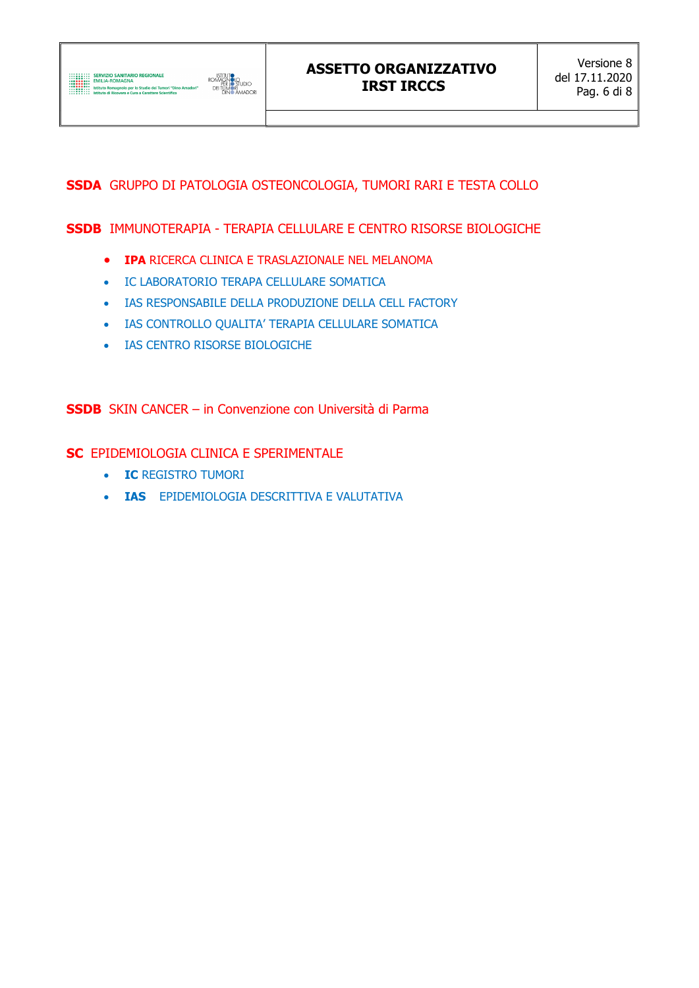

## SSDA GRUPPO DI PATOLOGIA OSTEONCOLOGIA, TUMORI RARI E TESTA COLLO

SSDB IMMUNOTERAPIA - TERAPIA CELLULARE E CENTRO RISORSE BIOLOGICHE

- **IPA RICERCA CLINICA E TRASLAZIONALE NEL MELANOMA**
- IC LABORATORIO TERAPA CELLULARE SOMATICA
- IAS RESPONSABILE DELLA PRODUZIONE DELLA CELL FACTORY
- IAS CONTROLLO QUALITA' TERAPIA CELLULARE SOMATICA
- **IAS CENTRO RISORSE BIOLOGICHE**

SSDB SKIN CANCER – in Convenzione con Università di Parma

SC EPIDEMIOLOGIA CLINICA E SPERIMENTALE

- **IC REGISTRO TUMORI**
- **. IAS** EPIDEMIOLOGIA DESCRITTIVA E VALUTATIVA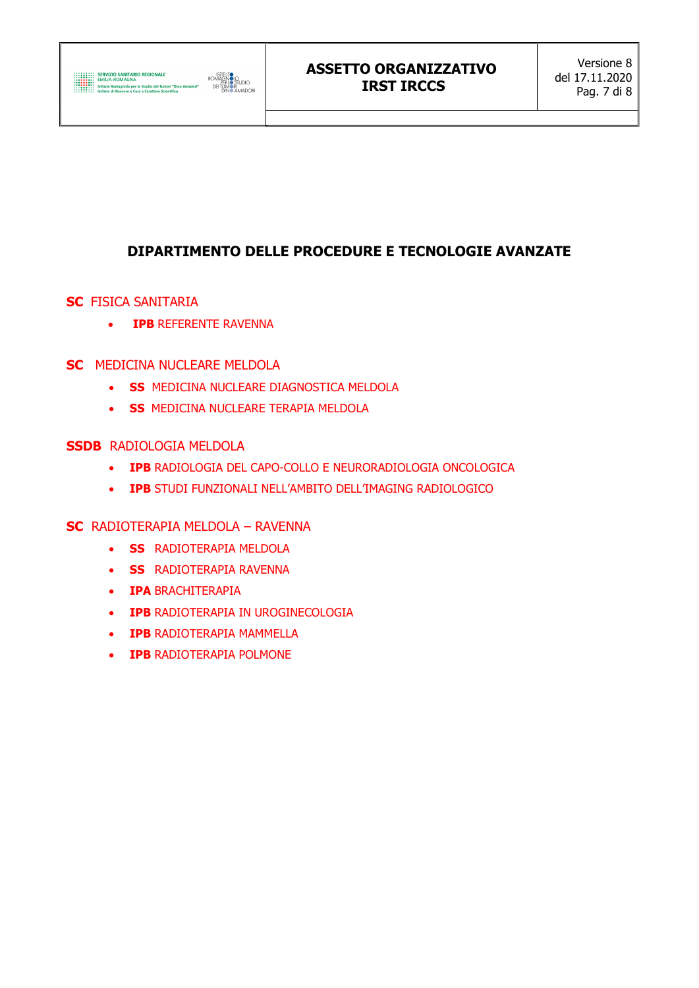

## DIPARTIMENTO DELLE PROCEDURE E TECNOLOGIE AVANZATE

- SC FISICA SANITARIA
	- **IPB REFERENTE RAVENNA**
- SC MEDICINA NUCLEARE MELDOLA
	- **SS MEDICINA NUCLEARE DIAGNOSTICA MELDOLA**
	- **SS MEDICINA NUCLEARE TERAPIA MELDOLA**
- SSDB RADIOLOGIA MELDOLA
	- IPB RADIOLOGIA DEL CAPO-COLLO E NEURORADIOLOGIA ONCOLOGICA
	- IPB STUDI FUNZIONALI NELL'AMBITO DELL'IMAGING RADIOLOGICO
- SC RADIOTERAPIA MELDOLA RAVENNA
	- **SS** RADIOTERAPIA MELDOLA
	- **SS** RADIOTERAPIA RAVENNA
	- **IPA BRACHITERAPIA**
	- **IPB RADIOTERAPIA IN UROGINECOLOGIA**
	- **IPB RADIOTERAPIA MAMMELLA**
	- **IPB RADIOTERAPIA POLMONE**